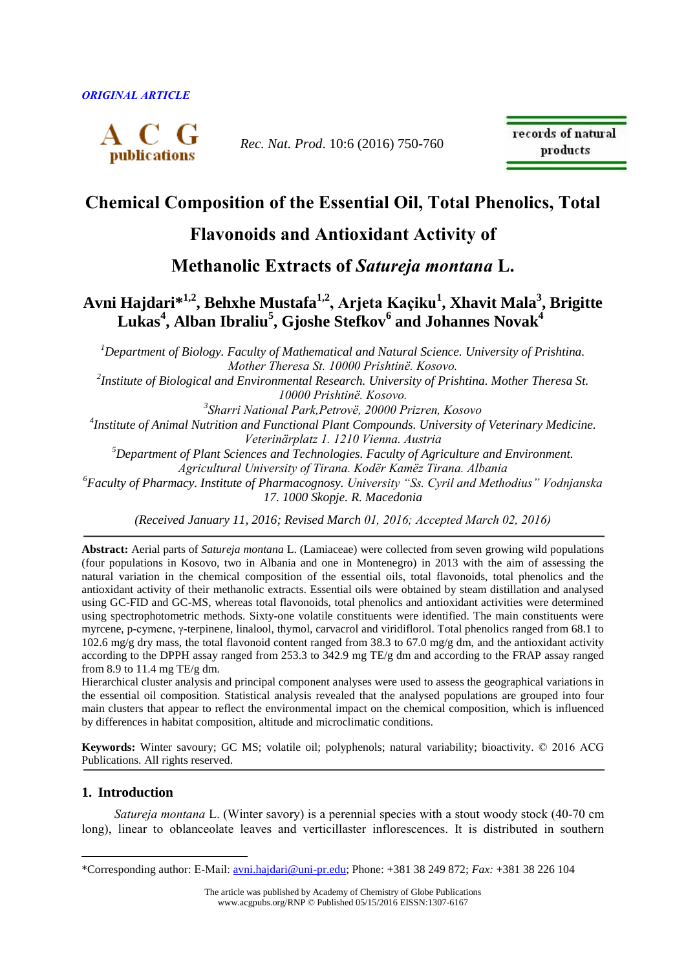

*Rec. Nat. Prod*. 10:6 (2016) 750-760

records of natural products

# **Chemical Composition of the Essential Oil, Total Phenolics, Total**

## **Flavonoids and Antioxidant Activity of**

**Methanolic Extracts of** *Satureja montana* **L.** 

## **Avni Hajdari\* 1,2, Behxhe Mustafa1,2, Arjeta Kaçiku<sup>1</sup> , Xhavit Mala<sup>3</sup> , Brigitte Lukas<sup>4</sup> , Alban Ibraliu<sup>5</sup> , Gjoshe Stefkov<sup>6</sup> and Johannes Novak<sup>4</sup>**

*<sup>1</sup>Department of Biology. Faculty of Mathematical and Natural Science. University of Prishtina. Mother Theresa St. 10000 Prishtinë. Kosovo.* 

*2 Institute of Biological and Environmental Research. University of Prishtina. Mother Theresa St. 10000 Prishtinë. Kosovo.* 

*3 Sharri National Park,Petrovë, 20000 Prizren, Kosovo*

*4 Institute of Animal Nutrition and Functional Plant Compounds. University of Veterinary Medicine. Veterinärplatz 1. 1210 Vienna. Austria*

*<sup>5</sup>Department of Plant Sciences and Technologies. Faculty of Agriculture and Environment.* 

*Agricultural University of Tirana. Kodër Kamëz Tirana. Albania*

*<sup>6</sup>Faculty of Pharmacy. Institute of Pharmacognosy. University "Ss. Cyril and Methodius" Vodnjanska 17. 1000 Skopje. R. Macedonia*

*(Received January 11, 2016; Revised March 01, 2016; Accepted March 02, 2016)*

**Abstract:** Aerial parts of *Satureja montana* L. (Lamiaceae) were collected from seven growing wild populations (four populations in Kosovo, two in Albania and one in Montenegro) in 2013 with the aim of assessing the natural variation in the chemical composition of the essential oils, total flavonoids, total phenolics and the antioxidant activity of their methanolic extracts. Essential oils were obtained by steam distillation and analysed using GC-FID and GC-MS, whereas total flavonoids, total phenolics and antioxidant activities were determined using spectrophotometric methods. Sixty-one volatile constituents were identified. The main constituents were myrcene, p-cymene, γ-terpinene, linalool, thymol, carvacrol and viridiflorol. Total phenolics ranged from 68.1 to 102.6 mg/g dry mass, the total flavonoid content ranged from 38.3 to 67.0 mg/g dm, and the antioxidant activity according to the DPPH assay ranged from 253.3 to 342.9 mg TE/g dm and according to the FRAP assay ranged from 8.9 to 11.4 mg TE/g dm.

Hierarchical cluster analysis and principal component analyses were used to assess the geographical variations in the essential oil composition. Statistical analysis revealed that the analysed populations are grouped into four main clusters that appear to reflect the environmental impact on the chemical composition, which is influenced by differences in habitat composition, altitude and microclimatic conditions.

**Keywords:** Winter savoury; GC MS; volatile oil; polyphenols; natural variability; bioactivity. © 2016 ACG Publications. All rights reserved.

## **1. Introduction**

 $\overline{a}$ 

*Satureja montana* L. (Winter savory) is a perennial species with a stout woody stock (40-70 cm long), linear to oblanceolate leaves and verticillaster inflorescences. It is distributed in southern

<sup>\*</sup>Corresponding author: E-Mail: [avni.hajdari@uni-pr.edu;](mailto:avni.hajdari@uni-pr.edu) Phone: +381 38 249 872; *Fax:* +381 38 226 104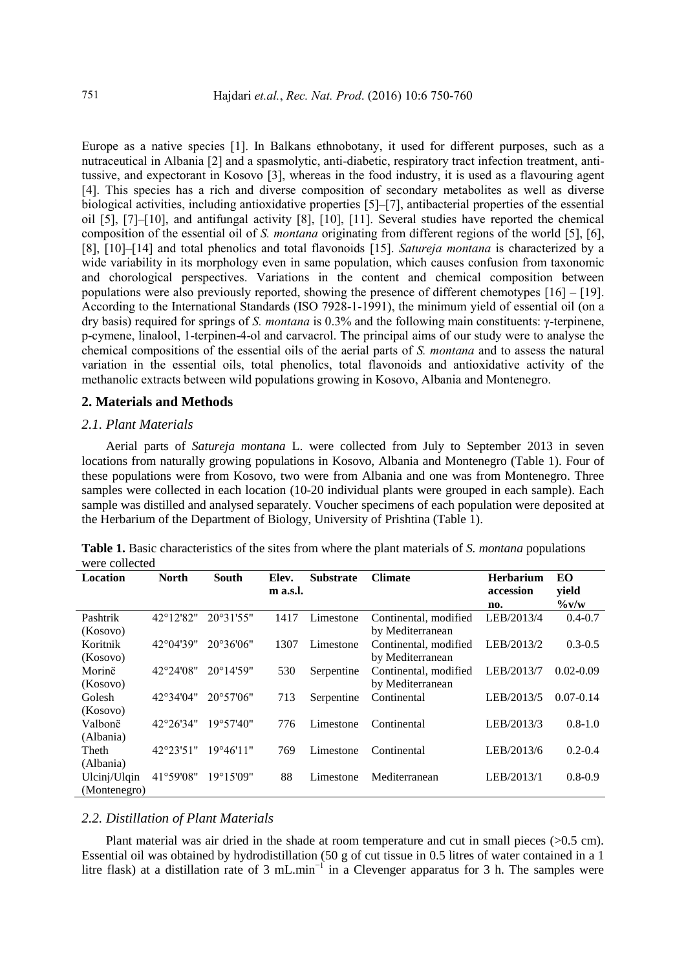Europe as a native species [1]. In Balkans ethnobotany, it used for different purposes, such as a nutraceutical in Albania [2] and a spasmolytic, anti-diabetic, respiratory tract infection treatment, antitussive, and expectorant in Kosovo [3], whereas in the food industry, it is used as a flavouring agent [4]. This species has a rich and diverse composition of secondary metabolites as well as diverse biological activities, including antioxidative properties [5]–[7], antibacterial properties of the essential oil [5], [7]–[10], and antifungal activity [8], [10], [11]. Several studies have reported the chemical composition of the essential oil of *S. montana* originating from different regions of the world [5], [6], [8], [10]–[14] and total phenolics and total flavonoids [15]. *Satureja montana* is characterized by a wide variability in its morphology even in same population, which causes confusion from taxonomic and chorological perspectives. Variations in the content and chemical composition between populations were also previously reported, showing the presence of different chemotypes [16] – [19]. According to the International Standards (ISO 7928-1-1991), the minimum yield of essential oil (on a dry basis) required for springs of *S. montana* is 0.3% and the following main constituents: γ-terpinene, p-cymene, linalool, 1-terpinen-4-ol and carvacrol. The principal aims of our study were to analyse the chemical compositions of the essential oils of the aerial parts of *S. montana* and to assess the natural variation in the essential oils, total phenolics, total flavonoids and antioxidative activity of the methanolic extracts between wild populations growing in Kosovo, Albania and Montenegro.

#### **2. Materials and Methods**

#### *2.1. Plant Materials*

Aerial parts of *Satureja montana* L. were collected from July to September 2013 in seven locations from naturally growing populations in Kosovo, Albania and Montenegro (Table 1). Four of these populations were from Kosovo, two were from Albania and one was from Montenegro. Three samples were collected in each location (10-20 individual plants were grouped in each sample). Each sample was distilled and analysed separately. Voucher specimens of each population were deposited at the Herbarium of the Department of Biology, University of Prishtina (Table 1).

| <b>Location</b> | <b>North</b>       | <b>South</b>        | Elev.    | <b>Substrate</b> | <b>Climate</b>        | <b>Herbarium</b> | EO                   |  |  |  |
|-----------------|--------------------|---------------------|----------|------------------|-----------------------|------------------|----------------------|--|--|--|
|                 |                    |                     | m a.s.l. |                  |                       | accession        | yield                |  |  |  |
|                 |                    |                     |          |                  |                       | no.              | $\frac{6}{\sqrt{W}}$ |  |  |  |
| Pashtrik        | $42^{\circ}12'82"$ | $20^{\circ}31'55"$  | 1417     | Limestone        | Continental, modified | LEB/2013/4       | $0.4 - 0.7$          |  |  |  |
| (Kosovo)        |                    |                     |          |                  | by Mediterranean      |                  |                      |  |  |  |
| Koritnik        | $42^{\circ}04'39"$ | $20^{\circ}36'06"$  | 1307     | Limestone        | Continental, modified | LEB/2013/2       | $0.3 - 0.5$          |  |  |  |
| (Kosovo)        |                    |                     |          |                  | by Mediterranean      |                  |                      |  |  |  |
| Morinë          | $42^{\circ}24'08"$ | $20^{\circ}14'59''$ | 530      | Serpentine       | Continental, modified | LEB/2013/7       | $0.02 - 0.09$        |  |  |  |
| (Kosovo)        |                    |                     |          |                  | by Mediterranean      |                  |                      |  |  |  |
| Golesh          | $42^{\circ}34'04"$ | $20^{\circ}57'06"$  | 713      | Serpentine       | Continental           | LEB/2013/5       | $0.07 - 0.14$        |  |  |  |
| (Kosovo)        |                    |                     |          |                  |                       |                  |                      |  |  |  |
| Valbonë         | $42^{\circ}26'34"$ | 19°57'40"           | 776      | Limestone        | Continental           | LEB/2013/3       | $0.8 - 1.0$          |  |  |  |
| (Albania)       |                    |                     |          |                  |                       |                  |                      |  |  |  |
| Theth           | $42^{\circ}23'51"$ | 19°46'11"           | 769      | Limestone        | Continental           | LEB/2013/6       | $0.2 - 0.4$          |  |  |  |
| (Albania)       |                    |                     |          |                  |                       |                  |                      |  |  |  |
| Ulcinj/Ulqin    | $41^{\circ}59'08"$ | $19^{\circ}15'09''$ | 88       | Limestone        | Mediterranean         | LEB/2013/1       | $0.8 - 0.9$          |  |  |  |
| (Montenegro)    |                    |                     |          |                  |                       |                  |                      |  |  |  |

**Table 1.** Basic characteristics of the sites from where the plant materials of *S. montana* populations were collected

#### *2.2. Distillation of Plant Materials*

Plant material was air dried in the shade at room temperature and cut in small pieces (>0.5 cm). Essential oil was obtained by hydrodistillation (50 g of cut tissue in 0.5 litres of water contained in a 1 litre flask) at a distillation rate of 3 mL.min<sup>-1</sup> in a Clevenger apparatus for 3 h. The samples were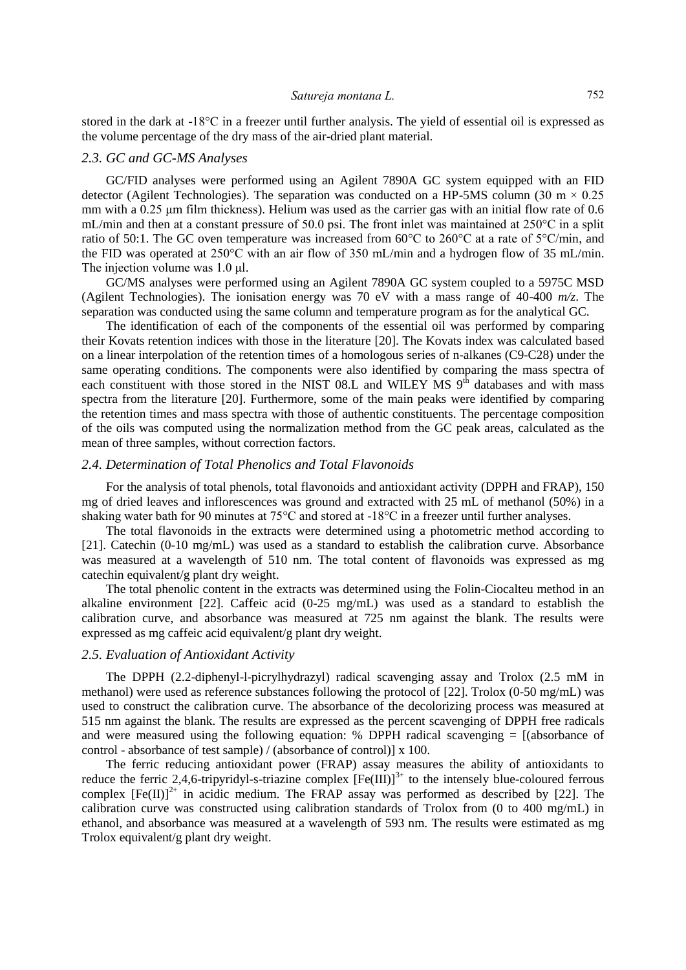stored in the dark at -18°C in a freezer until further analysis. The yield of essential oil is expressed as the volume percentage of the dry mass of the air-dried plant material.

#### *2.3. GC and GC-MS Analyses*

GC/FID analyses were performed using an Agilent 7890A GC system equipped with an FID detector (Agilent Technologies). The separation was conducted on a HP-5MS column (30 m  $\times$  0.25 mm with a 0.25 μm film thickness). Helium was used as the carrier gas with an initial flow rate of 0.6 mL/min and then at a constant pressure of 50.0 psi. The front inlet was maintained at 250°C in a split ratio of 50:1. The GC oven temperature was increased from 60°C to 260°C at a rate of 5°C/min, and the FID was operated at 250°C with an air flow of 350 mL/min and a hydrogen flow of 35 mL/min. The injection volume was 1.0 μl.

GC/MS analyses were performed using an Agilent 7890A GC system coupled to a 5975C MSD (Agilent Technologies). The ionisation energy was 70 eV with a mass range of 40-400 *m/z*. The separation was conducted using the same column and temperature program as for the analytical GC.

The identification of each of the components of the essential oil was performed by comparing their Kovats retention indices with those in the literature [20]. The Kovats index was calculated based on a linear interpolation of the retention times of a homologous series of n-alkanes (C9-C28) under the same operating conditions. The components were also identified by comparing the mass spectra of each constituent with those stored in the NIST 08.L and WILEY MS 9<sup>th</sup> databases and with mass spectra from the literature [20]. Furthermore, some of the main peaks were identified by comparing the retention times and mass spectra with those of authentic constituents. The percentage composition of the oils was computed using the normalization method from the GC peak areas, calculated as the mean of three samples, without correction factors.

#### *2.4. Determination of Total Phenolics and Total Flavonoids*

For the analysis of total phenols, total flavonoids and antioxidant activity (DPPH and FRAP), 150 mg of dried leaves and inflorescences was ground and extracted with 25 mL of methanol (50%) in a shaking water bath for 90 minutes at 75°C and stored at -18°C in a freezer until further analyses.

The total flavonoids in the extracts were determined using a photometric method according to [21]. Catechin (0-10 mg/mL) was used as a standard to establish the calibration curve. Absorbance was measured at a wavelength of 510 nm. The total content of flavonoids was expressed as mg catechin equivalent/g plant dry weight.

The total phenolic content in the extracts was determined using the Folin-Ciocalteu method in an alkaline environment [22]. Caffeic acid (0-25 mg/mL) was used as a standard to establish the calibration curve, and absorbance was measured at 725 nm against the blank. The results were expressed as mg caffeic acid equivalent/g plant dry weight.

#### *2.5. Evaluation of Antioxidant Activity*

The DPPH (2.2-diphenyl-l-picrylhydrazyl) radical scavenging assay and Trolox (2.5 mM in methanol) were used as reference substances following the protocol of [22]. Trolox (0-50 mg/mL) was used to construct the calibration curve. The absorbance of the decolorizing process was measured at 515 nm against the blank. The results are expressed as the percent scavenging of DPPH free radicals and were measured using the following equation:  $%$  DPPH radical scavenging = [(absorbance of control - absorbance of test sample) / (absorbance of control)] x 100.

The ferric reducing antioxidant power (FRAP) assay measures the ability of antioxidants to reduce the ferric 2,4,6-tripyridyl-s-triazine complex  $[Fe(III)]^{3+}$  to the intensely blue-coloured ferrous complex  $[Fe(II)]^{2+}$  in acidic medium. The FRAP assay was performed as described by [22]. The calibration curve was constructed using calibration standards of Trolox from (0 to 400 mg/mL) in ethanol, and absorbance was measured at a wavelength of 593 nm. The results were estimated as mg Trolox equivalent/g plant dry weight.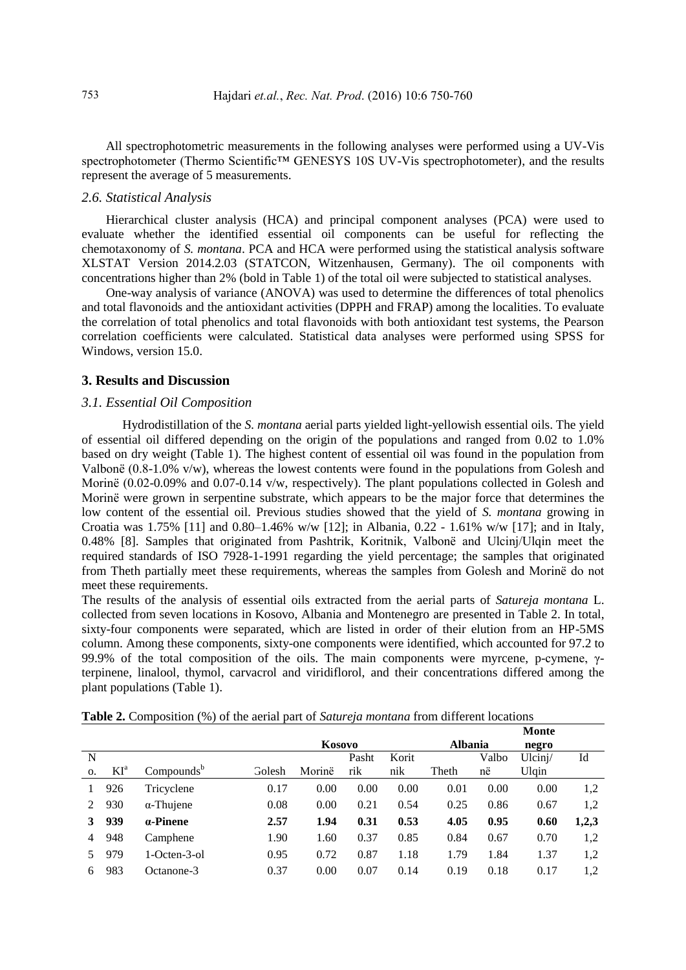All spectrophotometric measurements in the following analyses were performed using a UV-Vis spectrophotometer (Thermo Scientific<sup>™</sup> GENESYS 10S UV-Vis spectrophotometer), and the results represent the average of 5 measurements.

## *2.6. Statistical Analysis*

Hierarchical cluster analysis (HCA) and principal component analyses (PCA) were used to evaluate whether the identified essential oil components can be useful for reflecting the chemotaxonomy of *S. montana*. PCA and HCA were performed using the statistical analysis software XLSTAT Version 2014.2.03 (STATCON, Witzenhausen, Germany). The oil components with concentrations higher than 2% (bold in Table 1) of the total oil were subjected to statistical analyses.

One-way analysis of variance (ANOVA) was used to determine the differences of total phenolics and total flavonoids and the antioxidant activities (DPPH and FRAP) among the localities. To evaluate the correlation of total phenolics and total flavonoids with both antioxidant test systems, the Pearson correlation coefficients were calculated. Statistical data analyses were performed using SPSS for Windows, version 15.0.

#### **3. Results and Discussion**

#### *3.1. Essential Oil Composition*

Hydrodistillation of the *S. montana* aerial parts yielded light-yellowish essential oils. The yield of essential oil differed depending on the origin of the populations and ranged from 0.02 to 1.0% based on dry weight (Table 1). The highest content of essential oil was found in the population from Valbonë (0.8-1.0% v/w), whereas the lowest contents were found in the populations from Golesh and Morinë (0.02-0.09% and 0.07-0.14 v/w, respectively). The plant populations collected in Golesh and Morinë were grown in serpentine substrate, which appears to be the major force that determines the low content of the essential oil. Previous studies showed that the yield of *S. montana* growing in Croatia was 1.75% [11] and 0.80–1.46% w/w [12]; in Albania, 0.22 - 1.61% w/w [17]; and in Italy, 0.48% [8]. Samples that originated from Pashtrik, Koritnik, Valbonë and Ulcinj/Ulqin meet the required standards of ISO 7928-1-1991 regarding the yield percentage; the samples that originated from Theth partially meet these requirements, whereas the samples from Golesh and Morinë do not meet these requirements.

The results of the analysis of essential oils extracted from the aerial parts of *Satureja montana* L. collected from seven locations in Kosovo, Albania and Montenegro are presented in Table 2. In total, sixty-four components were separated, which are listed in order of their elution from an HP-5MS column. Among these components, sixty-one components were identified, which accounted for 97.2 to 99.9% of the total composition of the oils. The main components were myrcene, p-cymene, γterpinene, linalool, thymol, carvacrol and viridiflorol, and their concentrations differed among the plant populations (Table 1).

|    |        |                        |        |        |       |       |                |       | <b>Monte</b> |       |
|----|--------|------------------------|--------|--------|-------|-------|----------------|-------|--------------|-------|
|    |        |                        |        | Kosovo |       |       | <b>Albania</b> |       | negro        |       |
| N  |        |                        |        |        | Pasht | Korit |                | Valbo | Ulcini/      | Id    |
| 0. | $KI^a$ | Compounds <sup>b</sup> | Golesh | Morinë | rik   | nik   | Theth          | në    | Ulgin        |       |
|    | 926    | Tricyclene             | 0.17   | 0.00   | 0.00  | 0.00  | 0.01           | 0.00  | 0.00         | 1,2   |
| 2  | 930    | $\alpha$ -Thujene      | 0.08   | 0.00   | 0.21  | 0.54  | 0.25           | 0.86  | 0.67         | 1,2   |
| 3  | 939    | $a$ -Pinene            | 2.57   | 1.94   | 0.31  | 0.53  | 4.05           | 0.95  | 0.60         | 1,2,3 |
| 4  | 948    | Camphene               | 1.90   | 1.60   | 0.37  | 0.85  | 0.84           | 0.67  | 0.70         | 1,2   |
|    | 979    | $1-Octen-3-01$         | 0.95   | 0.72   | 0.87  | 1.18  | 1.79           | 1.84  | 1.37         | 1,2   |
| 6  | 983    | Octanone-3             | 0.37   | 0.00   | 0.07  | 0.14  | 0.19           | 0.18  | 0.17         | 1,2   |

**Table 2.** Composition (%) of the aerial part of *Satureja montana* from different locations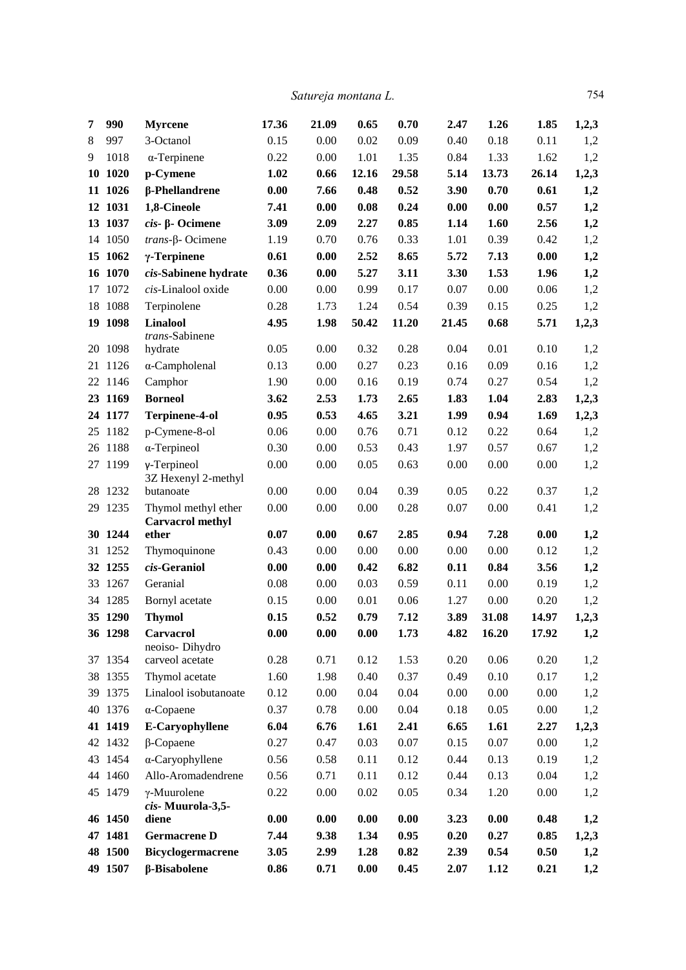*Satureja montana L.* 754

| 7  | 990      | <b>Myrcene</b>                                 | 17.36 | 21.09 | 0.65  | 0.70  | 2.47  | 1.26  | 1.85  | 1,2,3 |
|----|----------|------------------------------------------------|-------|-------|-------|-------|-------|-------|-------|-------|
| 8  | 997      | 3-Octanol                                      | 0.15  | 0.00  | 0.02  | 0.09  | 0.40  | 0.18  | 0.11  | 1,2   |
| 9  | 1018     | $\alpha$ -Terpinene                            | 0.22  | 0.00  | 1.01  | 1.35  | 0.84  | 1.33  | 1.62  | 1,2   |
|    | 10 10 20 | p-Cymene                                       | 1.02  | 0.66  | 12.16 | 29.58 | 5.14  | 13.73 | 26.14 | 1,2,3 |
|    | 11 1026  | β-Phellandrene                                 | 0.00  | 7.66  | 0.48  | 0.52  | 3.90  | 0.70  | 0.61  | 1,2   |
|    | 12 1031  | 1,8-Cineole                                    | 7.41  | 0.00  | 0.08  | 0.24  | 0.00  | 0.00  | 0.57  | 1,2   |
|    | 13 1037  | $cis$ - $\beta$ - Ocimene                      | 3.09  | 2.09  | 2.27  | 0.85  | 1.14  | 1.60  | 2.56  | 1,2   |
|    | 14 1050  | $trans$ - $\beta$ - Ocimene                    | 1.19  | 0.70  | 0.76  | 0.33  | 1.01  | 0.39  | 0.42  | 1,2   |
|    | 15 1062  | $\gamma$ -Terpinene                            | 0.61  | 0.00  | 2.52  | 8.65  | 5.72  | 7.13  | 0.00  | 1,2   |
|    | 16 1070  | cis-Sabinene hydrate                           | 0.36  | 0.00  | 5.27  | 3.11  | 3.30  | 1.53  | 1.96  | 1,2   |
| 17 | 1072     | cis-Linalool oxide                             | 0.00  | 0.00  | 0.99  | 0.17  | 0.07  | 0.00  | 0.06  | 1,2   |
|    | 18 1088  | Terpinolene                                    | 0.28  | 1.73  | 1.24  | 0.54  | 0.39  | 0.15  | 0.25  | 1,2   |
|    | 19 1098  | <b>Linalool</b>                                | 4.95  | 1.98  | 50.42 | 11.20 | 21.45 | 0.68  | 5.71  | 1,2,3 |
|    |          | trans-Sabinene                                 |       |       |       |       |       |       |       |       |
|    | 20 1098  | hydrate                                        | 0.05  | 0.00  | 0.32  | 0.28  | 0.04  | 0.01  | 0.10  | 1,2   |
|    | 21 1126  | $\alpha$ -Campholenal                          | 0.13  | 0.00  | 0.27  | 0.23  | 0.16  | 0.09  | 0.16  | 1,2   |
|    | 22 1146  | Camphor                                        | 1.90  | 0.00  | 0.16  | 0.19  | 0.74  | 0.27  | 0.54  | 1,2   |
|    | 23 1169  | <b>Borneol</b>                                 | 3.62  | 2.53  | 1.73  | 2.65  | 1.83  | 1.04  | 2.83  | 1,2,3 |
|    | 24 1177  | <b>Terpinene-4-ol</b>                          | 0.95  | 0.53  | 4.65  | 3.21  | 1.99  | 0.94  | 1.69  | 1,2,3 |
|    | 25 1182  | p-Cymene-8-ol                                  | 0.06  | 0.00  | 0.76  | 0.71  | 0.12  | 0.22  | 0.64  | 1,2   |
|    | 26 1188  | $\alpha$ -Terpineol                            | 0.30  | 0.00  | 0.53  | 0.43  | 1.97  | 0.57  | 0.67  | 1,2   |
|    | 27 1199  | $\gamma$ -Terpineol<br>3Z Hexenyl 2-methyl     | 0.00  | 0.00  | 0.05  | 0.63  | 0.00  | 0.00  | 0.00  | 1,2   |
|    | 28 1232  | butanoate                                      | 0.00  | 0.00  | 0.04  | 0.39  | 0.05  | 0.22  | 0.37  | 1,2   |
|    | 29 1235  | Thymol methyl ether<br><b>Carvacrol methyl</b> | 0.00  | 0.00  | 0.00  | 0.28  | 0.07  | 0.00  | 0.41  | 1,2   |
|    | 30 1244  | ether                                          | 0.07  | 0.00  | 0.67  | 2.85  | 0.94  | 7.28  | 0.00  | 1,2   |
|    | 31 1252  | Thymoquinone                                   | 0.43  | 0.00  | 0.00  | 0.00  | 0.00  | 0.00  | 0.12  | 1,2   |
|    | 32 1255  | cis-Geraniol                                   | 0.00  | 0.00  | 0.42  | 6.82  | 0.11  | 0.84  | 3.56  | 1,2   |
|    | 33 1267  | Geranial                                       | 0.08  | 0.00  | 0.03  | 0.59  | 0.11  | 0.00  | 0.19  | 1,2   |
|    | 34 1285  | Bornyl acetate                                 | 0.15  | 0.00  | 0.01  | 0.06  | 1.27  | 0.00  | 0.20  | 1,2   |
|    | 35 1290  | <b>Thymol</b>                                  | 0.15  | 0.52  | 0.79  | 7.12  | 3.89  | 31.08 | 14.97 | 1,2,3 |
|    | 36 1298  | Carvacrol<br>neoiso-Dihydro                    | 0.00  | 0.00  | 0.00  | 1.73  | 4.82  | 16.20 | 17.92 | 1,2   |
|    | 37 1354  | carveol acetate                                | 0.28  | 0.71  | 0.12  | 1.53  | 0.20  | 0.06  | 0.20  | 1,2   |
|    | 38 1355  | Thymol acetate                                 | 1.60  | 1.98  | 0.40  | 0.37  | 0.49  | 0.10  | 0.17  | 1,2   |
|    | 39 1375  | Linalool isobutanoate                          | 0.12  | 0.00  | 0.04  | 0.04  | 0.00  | 0.00  | 0.00  | 1,2   |
|    | 40 1376  | $\alpha$ -Copaene                              | 0.37  | 0.78  | 0.00  | 0.04  | 0.18  | 0.05  | 0.00  | 1,2   |
|    | 41 1419  | <b>E-Caryophyllene</b>                         | 6.04  | 6.76  | 1.61  | 2.41  | 6.65  | 1.61  | 2.27  | 1,2,3 |
|    | 42 1432  | $\beta$ -Copaene                               | 0.27  | 0.47  | 0.03  | 0.07  | 0.15  | 0.07  | 0.00  | 1,2   |
|    | 43 1454  | α-Caryophyllene                                | 0.56  | 0.58  | 0.11  | 0.12  | 0.44  | 0.13  | 0.19  | 1,2   |
|    | 44 1460  | Allo-Aromadendrene                             | 0.56  | 0.71  | 0.11  | 0.12  | 0.44  | 0.13  | 0.04  | 1,2   |
|    | 45 1479  | $\gamma$ -Muurolene<br>cis-Muurola-3,5-        | 0.22  | 0.00  | 0.02  | 0.05  | 0.34  | 1.20  | 0.00  | 1,2   |
|    | 46 1450  | diene                                          | 0.00  | 0.00  | 0.00  | 0.00  | 3.23  | 0.00  | 0.48  | 1,2   |
|    | 47 1481  | <b>Germacrene D</b>                            | 7.44  | 9.38  | 1.34  | 0.95  | 0.20  | 0.27  | 0.85  | 1,2,3 |
|    | 48 1500  | Bicyclogermacrene                              | 3.05  | 2.99  | 1.28  | 0.82  | 2.39  | 0.54  | 0.50  | 1,2   |
|    | 49 1507  | β-Bisabolene                                   | 0.86  | 0.71  | 0.00  | 0.45  | 2.07  | 1.12  | 0.21  | 1,2   |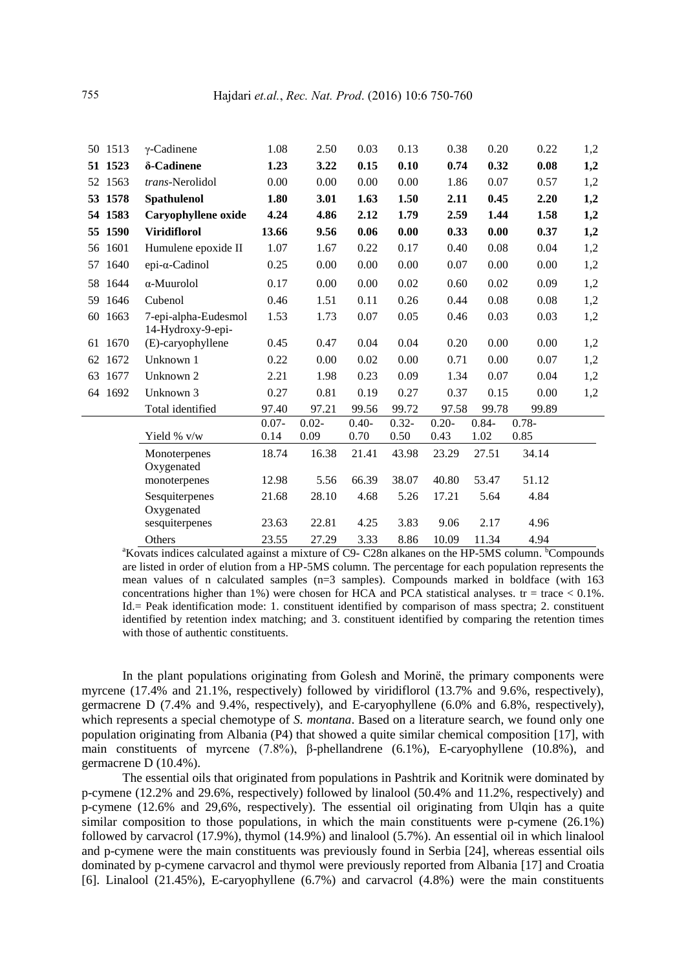|    | 50 1513 | $\gamma$ -Cadinene                        | 1.08     | 2.50     | 0.03    | 0.13     | 0.38     | 0.20     | 0.22     | 1,2 |
|----|---------|-------------------------------------------|----------|----------|---------|----------|----------|----------|----------|-----|
|    | 51 1523 | δ-Cadinene                                | 1.23     | 3.22     | 0.15    | 0.10     | 0.74     | 0.32     | 0.08     | 1,2 |
|    | 52 1563 | trans-Nerolidol                           | 0.00     | 0.00     | 0.00    | 0.00     | 1.86     | 0.07     | 0.57     | 1,2 |
|    | 53 1578 | Spathulenol                               | 1.80     | 3.01     | 1.63    | 1.50     | 2.11     | 0.45     | 2.20     | 1,2 |
|    | 54 1583 | Caryophyllene oxide                       | 4.24     | 4.86     | 2.12    | 1.79     | 2.59     | 1.44     | 1.58     | 1,2 |
|    | 55 1590 | <b>Viridiflorol</b>                       | 13.66    | 9.56     | 0.06    | 0.00     | 0.33     | 0.00     | 0.37     | 1,2 |
|    | 56 1601 | Humulene epoxide II                       | 1.07     | 1.67     | 0.22    | 0.17     | 0.40     | 0.08     | 0.04     | 1,2 |
| 57 | 1640    | $epi-a-Cadinol$                           | 0.25     | 0.00     | 0.00    | 0.00     | 0.07     | 0.00     | 0.00     | 1,2 |
| 58 | 1644    | α-Muurolol                                | 0.17     | 0.00     | 0.00    | 0.02     | 0.60     | 0.02     | 0.09     | 1,2 |
|    | 59 1646 | Cubenol                                   | 0.46     | 1.51     | 0.11    | 0.26     | 0.44     | 0.08     | 0.08     | 1,2 |
|    | 60 1663 | 7-epi-alpha-Eudesmol<br>14-Hydroxy-9-epi- | 1.53     | 1.73     | 0.07    | 0.05     | 0.46     | 0.03     | 0.03     | 1,2 |
|    | 61 1670 | (E)-caryophyllene                         | 0.45     | 0.47     | 0.04    | 0.04     | 0.20     | 0.00     | 0.00     | 1,2 |
|    | 62 1672 | Unknown 1                                 | 0.22     | 0.00     | 0.02    | 0.00     | 0.71     | 0.00     | 0.07     | 1,2 |
|    | 63 1677 | Unknown 2                                 | 2.21     | 1.98     | 0.23    | 0.09     | 1.34     | 0.07     | 0.04     | 1,2 |
|    | 64 1692 | Unknown 3                                 | 0.27     | 0.81     | 0.19    | 0.27     | 0.37     | 0.15     | 0.00     | 1,2 |
|    |         | Total identified                          | 97.40    | 97.21    | 99.56   | 99.72    | 97.58    | 99.78    | 99.89    |     |
|    |         |                                           | $0.07 -$ | $0.02 -$ | $0.40-$ | $0.32 -$ | $0.20 -$ | $0.84 -$ | $0.78 -$ |     |
|    |         | Yield % v/w                               | 0.14     | 0.09     | 0.70    | 0.50     | 0.43     | 1.02     | 0.85     |     |
|    |         | Monoterpenes<br>Oxygenated                | 18.74    | 16.38    | 21.41   | 43.98    | 23.29    | 27.51    | 34.14    |     |
|    |         | monoterpenes                              | 12.98    | 5.56     | 66.39   | 38.07    | 40.80    | 53.47    | 51.12    |     |
|    |         | Sesquiterpenes<br>Oxygenated              | 21.68    | 28.10    | 4.68    | 5.26     | 17.21    | 5.64     | 4.84     |     |
|    |         | sesquiterpenes                            | 23.63    | 22.81    | 4.25    | 3.83     | 9.06     | 2.17     | 4.96     |     |
|    |         | Others                                    | 23.55    | 27.29    | 3.33    | 8.86     | 10.09    | 11.34    | 4.94     |     |

<sup>a</sup>Kovats indices calculated against a mixture of C9- C28n alkanes on the HP-5MS column. <sup>b</sup>Compounds are listed in order of elution from a HP-5MS column. The percentage for each population represents the mean values of n calculated samples (n=3 samples). Compounds marked in boldface (with 163 concentrations higher than 1%) were chosen for HCA and PCA statistical analyses.  $tr = trace < 0.1\%$ . Id.= Peak identification mode: 1. constituent identified by comparison of mass spectra; 2. constituent identified by retention index matching; and 3. constituent identified by comparing the retention times with those of authentic constituents.

In the plant populations originating from Golesh and Morinë, the primary components were myrcene (17.4% and 21.1%, respectively) followed by viridiflorol (13.7% and 9.6%, respectively), germacrene D (7.4% and 9.4%, respectively), and E-caryophyllene (6.0% and 6.8%, respectively), which represents a special chemotype of *S. montana*. Based on a literature search, we found only one population originating from Albania (P4) that showed a quite similar chemical composition [17], with main constituents of myrcene (7.8%), β-phellandrene (6.1%), E-caryophyllene (10.8%), and germacrene D (10.4%).

The essential oils that originated from populations in Pashtrik and Koritnik were dominated by p-cymene (12.2% and 29.6%, respectively) followed by linalool (50.4% and 11.2%, respectively) and p-cymene (12.6% and 29,6%, respectively). The essential oil originating from Ulqin has a quite similar composition to those populations, in which the main constituents were p-cymene (26.1%) followed by carvacrol (17.9%), thymol (14.9%) and linalool (5.7%). An essential oil in which linalool and p-cymene were the main constituents was previously found in Serbia [24], whereas essential oils dominated by p-cymene carvacrol and thymol were previously reported from Albania [17] and Croatia [6]. Linalool (21.45%), E-caryophyllene (6.7%) and carvacrol (4.8%) were the main constituents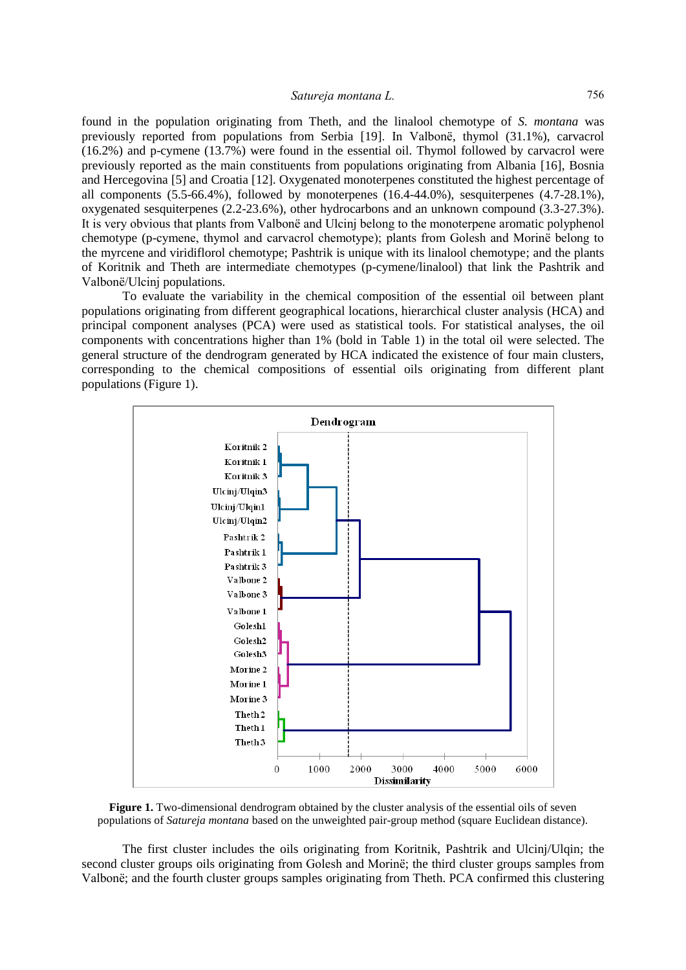found in the population originating from Theth, and the linalool chemotype of *S. montana* was previously reported from populations from Serbia [19]. In Valbonë, thymol (31.1%), carvacrol (16.2%) and p-cymene (13.7%) were found in the essential oil. Thymol followed by carvacrol were previously reported as the main constituents from populations originating from Albania [16], Bosnia and Hercegovina [5] and Croatia [12]. Oxygenated monoterpenes constituted the highest percentage of all components  $(5.5-66.4\%)$ , followed by monoterpenes  $(16.4-44.0\%)$ , sesquiterpenes  $(4.7-28.1\%)$ , oxygenated sesquiterpenes (2.2-23.6%), other hydrocarbons and an unknown compound (3.3-27.3%). It is very obvious that plants from Valbonë and Ulcinj belong to the monoterpene aromatic polyphenol chemotype (p-cymene, thymol and carvacrol chemotype); plants from Golesh and Morinë belong to the myrcene and viridiflorol chemotype; Pashtrik is unique with its linalool chemotype; and the plants of Koritnik and Theth are intermediate chemotypes (p-cymene/linalool) that link the Pashtrik and Valbonë/Ulcinj populations.

To evaluate the variability in the chemical composition of the essential oil between plant populations originating from different geographical locations, hierarchical cluster analysis (HCA) and principal component analyses (PCA) were used as statistical tools. For statistical analyses, the oil components with concentrations higher than 1% (bold in Table 1) in the total oil were selected. The general structure of the dendrogram generated by HCA indicated the existence of four main clusters, corresponding to the chemical compositions of essential oils originating from different plant populations (Figure 1).



**Figure 1.** Two-dimensional dendrogram obtained by the cluster analysis of the essential oils of seven populations of *Satureja montana* based on the unweighted pair-group method (square Euclidean distance).

The first cluster includes the oils originating from Koritnik, Pashtrik and Ulcinj/Ulqin; the second cluster groups oils originating from Golesh and Morinë; the third cluster groups samples from Valbonë; and the fourth cluster groups samples originating from Theth. PCA confirmed this clustering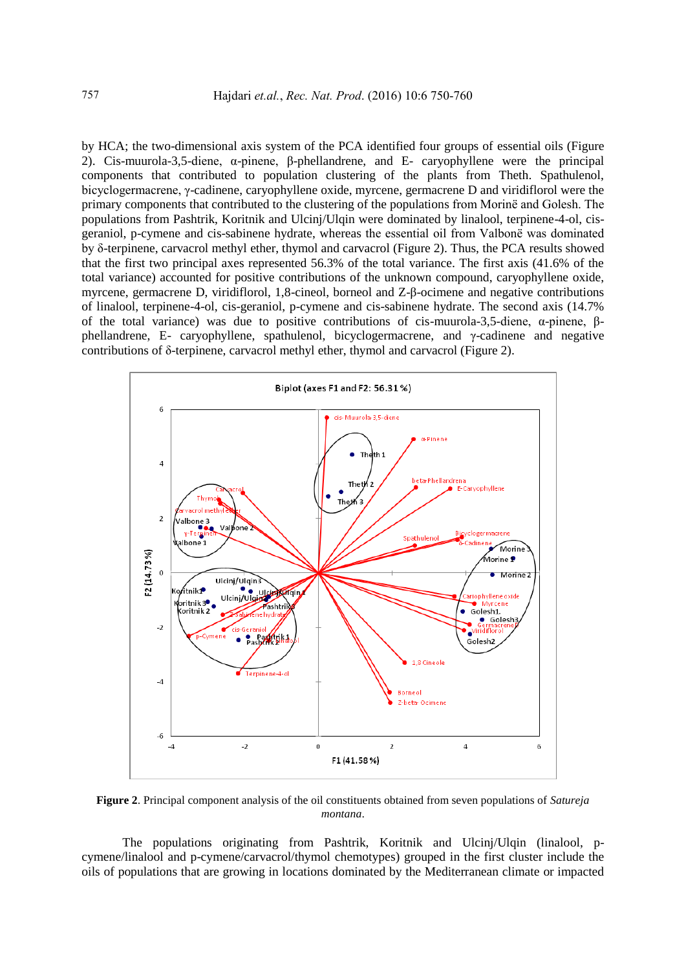by HCA; the two-dimensional axis system of the PCA identified four groups of essential oils (Figure 2). Cis-muurola-3,5-diene, α-pinene, β-phellandrene, and E- caryophyllene were the principal components that contributed to population clustering of the plants from Theth. Spathulenol, bicyclogermacrene, γ-cadinene, caryophyllene oxide, myrcene, germacrene D and viridiflorol were the primary components that contributed to the clustering of the populations from Morinë and Golesh. The populations from Pashtrik, Koritnik and Ulcinj/Ulqin were dominated by linalool, terpinene-4-ol, cisgeraniol, p-cymene and cis-sabinene hydrate, whereas the essential oil from Valbonë was dominated by δ-terpinene, carvacrol methyl ether, thymol and carvacrol (Figure 2). Thus, the PCA results showed that the first two principal axes represented 56.3% of the total variance. The first axis (41.6% of the total variance) accounted for positive contributions of the unknown compound, caryophyllene oxide, myrcene, germacrene D, viridiflorol, 1,8-cineol, borneol and Z-β-ocimene and negative contributions of linalool, terpinene-4-ol, cis-geraniol, p-cymene and cis-sabinene hydrate. The second axis (14.7% of the total variance) was due to positive contributions of cis-muurola-3,5-diene, α-pinene, βphellandrene, E- caryophyllene, spathulenol, bicyclogermacrene, and γ-cadinene and negative contributions of δ-terpinene, carvacrol methyl ether, thymol and carvacrol (Figure 2).



**Figure 2**. Principal component analysis of the oil constituents obtained from seven populations of *Satureja montana*.

The populations originating from Pashtrik, Koritnik and Ulcinj/Ulqin (linalool, pcymene/linalool and p-cymene/carvacrol/thymol chemotypes) grouped in the first cluster include the oils of populations that are growing in locations dominated by the Mediterranean climate or impacted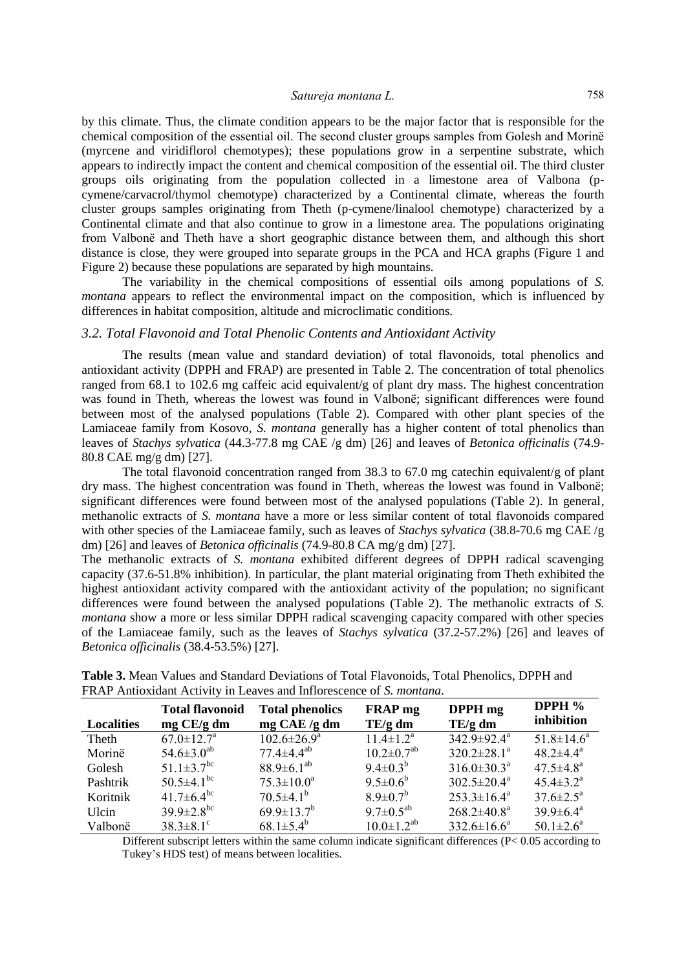by this climate. Thus, the climate condition appears to be the major factor that is responsible for the chemical composition of the essential oil. The second cluster groups samples from Golesh and Morinë (myrcene and viridiflorol chemotypes); these populations grow in a serpentine substrate, which appears to indirectly impact the content and chemical composition of the essential oil. The third cluster groups oils originating from the population collected in a limestone area of Valbona (pcymene/carvacrol/thymol chemotype) characterized by a Continental climate, whereas the fourth cluster groups samples originating from Theth (p-cymene/linalool chemotype) characterized by a Continental climate and that also continue to grow in a limestone area. The populations originating from Valbonë and Theth have a short geographic distance between them, and although this short distance is close, they were grouped into separate groups in the PCA and HCA graphs (Figure 1 and Figure 2) because these populations are separated by high mountains.

The variability in the chemical compositions of essential oils among populations of *S. montana* appears to reflect the environmental impact on the composition, which is influenced by differences in habitat composition, altitude and microclimatic conditions.

## *3.2. Total Flavonoid and Total Phenolic Contents and Antioxidant Activity*

The results (mean value and standard deviation) of total flavonoids, total phenolics and antioxidant activity (DPPH and FRAP) are presented in Table 2. The concentration of total phenolics ranged from 68.1 to 102.6 mg caffeic acid equivalent/g of plant dry mass. The highest concentration was found in Theth, whereas the lowest was found in Valbonë; significant differences were found between most of the analysed populations (Table 2). Compared with other plant species of the Lamiaceae family from Kosovo, *S. montana* generally has a higher content of total phenolics than leaves of *Stachys sylvatica* (44.3-77.8 mg CAE /g dm) [26] and leaves of *Betonica officinalis* (74.9- 80.8 CAE mg/g dm) [27].

The total flavonoid concentration ranged from 38.3 to 67.0 mg catechin equivalent/g of plant dry mass. The highest concentration was found in Theth, whereas the lowest was found in Valbonë; significant differences were found between most of the analysed populations (Table 2). In general, methanolic extracts of *S. montana* have a more or less similar content of total flavonoids compared with other species of the Lamiaceae family, such as leaves of *Stachys sylvatica* (38.8-70.6 mg CAE /g dm) [26] and leaves of *Betonica officinalis* (74.9-80.8 CA mg/g dm) [27].

The methanolic extracts of *S. montana* exhibited different degrees of DPPH radical scavenging capacity (37.6-51.8% inhibition). In particular, the plant material originating from Theth exhibited the highest antioxidant activity compared with the antioxidant activity of the population; no significant differences were found between the analysed populations (Table 2). The methanolic extracts of *S. montana* show a more or less similar DPPH radical scavenging capacity compared with other species of the Lamiaceae family, such as the leaves of *Stachys sylvatica* (37.2-57.2%) [26] and leaves of *Betonica officinalis* (38.4-53.5%) [27].

| Localities | <b>Total flavonoid</b><br>$mg$ CE/g dm | <b>Total phenolics</b><br>$mg$ CAE /g dm | <b>FRAP</b> mg<br>TE/g dm  | DPPH mg<br>TE/g dm            | DPPH %<br>inhibition        |
|------------|----------------------------------------|------------------------------------------|----------------------------|-------------------------------|-----------------------------|
| Theth      | $67.0 \pm 12.7$ <sup>a</sup>           | $102.6 \pm 26.9^{\mathrm{a}}$            | $11.4 \pm 1.2^a$           | $342.9 \pm 92.4^{\mathrm{a}}$ | $51.8 \pm 14.6^a$           |
| Morinë     | $54.6 \pm 3.0^{ab}$                    | $77.4 \pm 4.4^{\rm ab}$                  | $10.2 \pm 0.7^{ab}$        | $320.2 \pm 28.1^a$            | $48.2 \pm 4.4^{\circ}$      |
| Golesh     | $51.1 \pm 3.7$ <sup>bc</sup>           | $88.9 \pm 6.1^{ab}$                      | $9.4 \pm 0.3^b$            | $316.0 \pm 30.3^{\text{a}}$   | $47.5 \pm 4.8^{\circ}$      |
| Pashtrik   | $50.5 \pm 4.1^{\rm bc}$                | $75.3 \pm 10.0^a$                        | $9.5 \pm 0.6^b$            | $302.5 \pm 20.4^a$            | $45.4 \pm 3.2^{\mathrm{a}}$ |
| Koritnik   | 41.7 $\pm$ 6.4 <sup>bc</sup>           | $70.5 \pm 4.1^{\rm b}$                   | $8.9 \pm 0.7$ <sup>b</sup> | $253.3 \pm 16.4^a$            | $37.6 \pm 2.5^{\circ}$      |
| Ulcin      | $39.9 \pm 2.8^{\rm bc}$                | $69.9 \pm 13.7^b$                        | $9.7 \pm 0.5^{ab}$         | $268.2 \pm 40.8^{\text{a}}$   | $39.9 \pm 6.4^{\circ}$      |
| Valbonë    | $38.3 \pm 8.1$ <sup>c</sup>            | $68.1 \pm 5.4^b$                         | $10.0 \pm 1.2^{ab}$        | $332.6 \pm 16.6^a$            | $50.1 \pm 2.6^{\circ}$      |

**Table 3.** Mean Values and Standard Deviations of Total Flavonoids, Total Phenolics, DPPH and FRAP Antioxidant Activity in Leaves and Inflorescence of *S. montana*.

Different subscript letters within the same column indicate significant differences  $(P< 0.05$  according to Tukey's HDS test) of means between localities.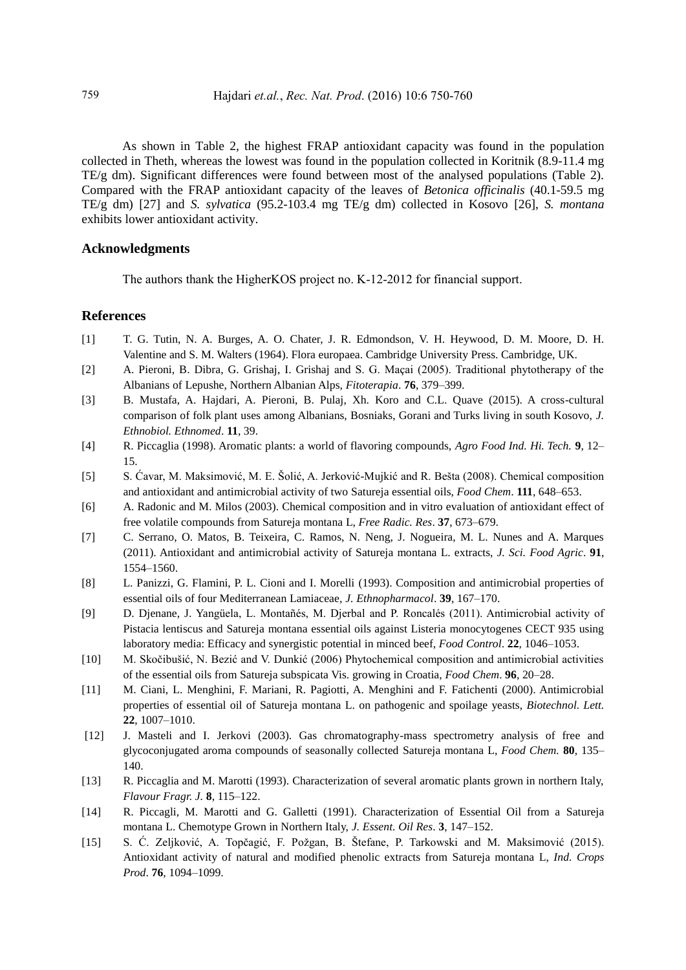As shown in Table 2, the highest FRAP antioxidant capacity was found in the population collected in Theth, whereas the lowest was found in the population collected in Koritnik (8.9-11.4 mg TE/g dm). Significant differences were found between most of the analysed populations (Table 2). Compared with the FRAP antioxidant capacity of the leaves of *Betonica officinalis* (40.1-59.5 mg TE/g dm) [27] and *S. sylvatica* (95.2-103.4 mg TE/g dm) collected in Kosovo [26], *S. montana* exhibits lower antioxidant activity.

## **Acknowledgments**

The authors thank the HigherKOS project no. K-12-2012 for financial support.

## **References**

- [1] T. G. Tutin, N. A. Burges, A. O. Chater, J. R. Edmondson, V. H. Heywood, D. M. Moore, D. H. Valentine and S. M. Walters (1964). Flora europaea. Cambridge University Press. Cambridge, UK.
- [2] A. Pieroni, B. Dibra, G. Grishaj, I. Grishaj and S. G. Maçai (2005). Traditional phytotherapy of the Albanians of Lepushe, Northern Albanian Alps, *Fitoterapia*. **76**, 379–399.
- [3] B. Mustafa, A. Hajdari, A. Pieroni, B. Pulaj, Xh. Koro and C.L. Quave (2015). A cross-cultural comparison of folk plant uses among Albanians, Bosniaks, Gorani and Turks living in south Kosovo, *J. Ethnobiol. Ethnomed*. **11**, 39.
- [4] R. Piccaglia (1998). Aromatic plants: a world of flavoring compounds, *Agro Food Ind. Hi. Tech.* **9**, 12– 15.
- [5] S. Ćavar, M. Maksimović, M. E. Šolić, A. Jerković-Mujkić and R. Bešta (2008). Chemical composition and antioxidant and antimicrobial activity of two Satureja essential oils, *Food Chem*. **111**, 648–653.
- [6] A. Radonic and M. Milos (2003). Chemical composition and in vitro evaluation of antioxidant effect of free volatile compounds from Satureja montana L, *Free Radic. Res*. **37**, 673–679.
- [7] C. Serrano, O. Matos, B. Teixeira, C. Ramos, N. Neng, J. Nogueira, M. L. Nunes and A. Marques (2011). Antioxidant and antimicrobial activity of Satureja montana L. extracts, *J. Sci. Food Agric*. **91**, 1554–1560.
- [8] L. Panizzi, G. Flamini, P. L. Cioni and I. Morelli (1993). Composition and antimicrobial properties of essential oils of four Mediterranean Lamiaceae, *J. Ethnopharmacol*. **39**, 167–170.
- [9] D. Djenane, J. Yangüela, L. Montañés, M. Djerbal and P. Roncalés (2011). Antimicrobial activity of Pistacia lentiscus and Satureja montana essential oils against Listeria monocytogenes CECT 935 using laboratory media: Efficacy and synergistic potential in minced beef, *Food Control*. **22**, 1046–1053.
- [10] M. Skočibušić, N. Bezić and V. Dunkić (2006) Phytochemical composition and antimicrobial activities of the essential oils from Satureja subspicata Vis. growing in Croatia, *Food Chem*. **96**, 20–28.
- [11] M. Ciani, L. Menghini, F. Mariani, R. Pagiotti, A. Menghini and F. Fatichenti (2000). Antimicrobial properties of essential oil of Satureja montana L. on pathogenic and spoilage yeasts, *Biotechnol. Lett.* **22**, 1007–1010.
- [12] J. Masteli and I. Jerkovi (2003). Gas chromatography-mass spectrometry analysis of free and glycoconjugated aroma compounds of seasonally collected Satureja montana L, *Food Chem.* **80**, 135– 140.
- [13] R. Piccaglia and M. Marotti (1993). Characterization of several aromatic plants grown in northern Italy, *Flavour Fragr. J.* **8**, 115–122.
- [14] R. Piccagli, M. Marotti and G. Galletti (1991). Characterization of Essential Oil from a Satureja montana L. Chemotype Grown in Northern Italy, *J. Essent. Oil Res*. **3**, 147–152.
- [15] S. Ć. Zeljković, A. Topčagić, F. Požgan, B. Štefane, P. Tarkowski and M. Maksimović (2015). Antioxidant activity of natural and modified phenolic extracts from Satureja montana L, *Ind. Crops Prod*. **76**, 1094–1099.